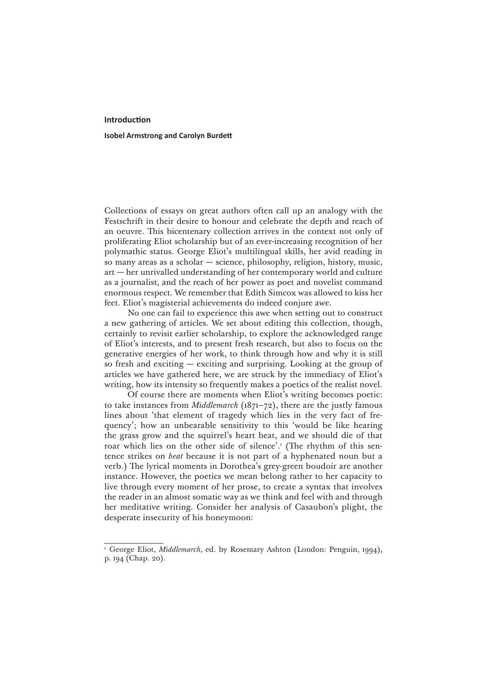## **Introduction**

## **Isobel Armstrong and Carolyn Burdett**

Collections of essays on great authors often call up an analogy with the Festschrift in their desire to honour and celebrate the depth and reach of an oeuvre. This bicentenary collection arrives in the context not only of proliferating Eliot scholarship but of an ever-increasing recognition of her polymathic status. George Eliot's multilingual skills, her avid reading in so many areas as a scholar — science, philosophy, religion, history, music, art — her unrivalled understanding of her contemporary world and culture as a journalist, and the reach of her power as poet and novelist command enormous respect. We remember that Edith Simcox was allowed to kiss her feet. Eliot's magisterial achievements do indeed conjure awe.

No one can fail to experience this awe when setting out to construct a new gathering of articles. We set about editing this collection, though, certainly to revisit earlier scholarship, to explore the acknowledged range of Eliot's interests, and to present fresh research, but also to focus on the generative energies of her work, to think through how and why it is still so fresh and exciting — exciting and surprising. Looking at the group of articles we have gathered here, we are struck by the immediacy of Eliot's writing, how its intensity so frequently makes a poetics of the realist novel.

Of course there are moments when Eliot's writing becomes poetic: to take instances from *Middlemarch* (1871–72), there are the justly famous lines about 'that element of tragedy which lies in the very fact of frequency'; how an unbearable sensitivity to this 'would be like hearing the grass grow and the squirrel's heart beat, and we should die of that roar which lies on the other side of silence'.<sup>1</sup> (The rhythm of this sentence strikes on *beat* because it is not part of a hyphenated noun but a verb.) The lyrical moments in Dorothea's grey-green boudoir are another instance. However, the poetics we mean belong rather to her capacity to live through every moment of her prose, to create a syntax that involves the reader in an almost somatic way as we think and feel with and through her meditative writing. Consider her analysis of Casaubon's plight, the desperate insecurity of his honeymoon:

<sup>&</sup>lt;sup>1</sup> George Eliot, *Middlemarch*, ed. by Rosemary Ashton (London: Penguin, 1994), p. 194 (Chap. 20).